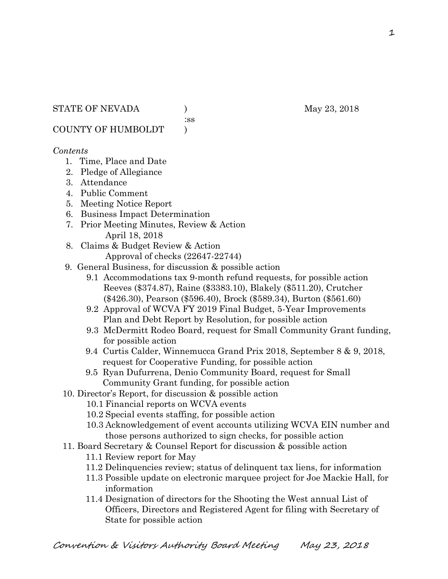:ss

COUNTY OF HUMBOLDT )

### *Contents*

- 1. Time, Place and Date
- 2. Pledge of Allegiance
- 3. Attendance
- 4. Public Comment
- 5. Meeting Notice Report
- 6. Business Impact Determination
- 7. Prior Meeting Minutes, Review & Action April 18, 2018
- 8. Claims & Budget Review & Action
	- Approval of checks (22647-22744)
- 9. General Business, for discussion & possible action
	- 9.1 Accommodations tax 9-month refund requests, for possible action Reeves (\$374.87), Raine (\$3383.10), Blakely (\$511.20), Crutcher (\$426.30), Pearson (\$596.40), Brock (\$589.34), Burton (\$561.60)
	- 9.2 Approval of WCVA FY 2019 Final Budget, 5-Year Improvements Plan and Debt Report by Resolution, for possible action
	- 9.3 McDermitt Rodeo Board, request for Small Community Grant funding, for possible action
	- 9.4 Curtis Calder, Winnemucca Grand Prix 2018, September 8 & 9, 2018, request for Cooperative Funding, for possible action
	- 9.5 Ryan Dufurrena, Denio Community Board, request for Small Community Grant funding, for possible action
- 10. Director's Report, for discussion & possible action
	- 10.1 Financial reports on WCVA events
	- 10.2 Special events staffing, for possible action
	- 10.3 Acknowledgement of event accounts utilizing WCVA EIN number and those persons authorized to sign checks, for possible action
- 11. Board Secretary & Counsel Report for discussion & possible action
	- 11.1 Review report for May
	- 11.2 Delinquencies review; status of delinquent tax liens, for information
	- 11.3 Possible update on electronic marquee project for Joe Mackie Hall, for information
	- 11.4 Designation of directors for the Shooting the West annual List of Officers, Directors and Registered Agent for filing with Secretary of State for possible action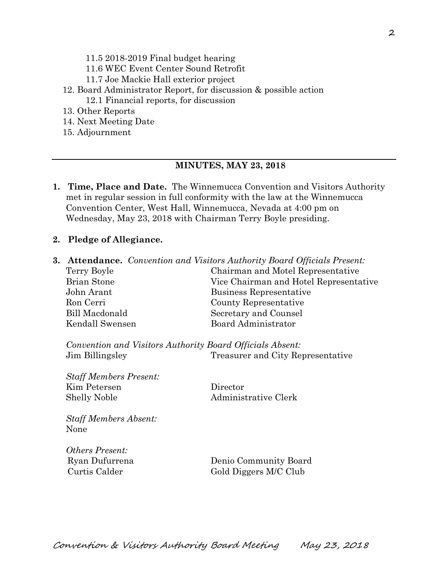- 11.5 2018-2019 Final budget hearing
- 11.6 WEC Event Center Sound Retrofit
- 11.7 Joe Mackie Hall exterior project
- 12. Board Administrator Report, for discussion & possible action 12.1 Financial reports, for discussion
- 13. Other Reports
- 14. Next Meeting Date
- 15. Adjournment

#### **MINUTES, MAY 23, 2018**

- **1. Time, Place and Date.** The Winnemucca Convention and Visitors Authority met in regular session in full conformity with the law at the Winnemucca Convention Center, West Hall, Winnemucca, Nevada at 4:00 pm on Wednesday, May 23, 2018 with Chairman Terry Boyle presiding.
- **2. Pledge of Allegiance.**
- **3. Attendance.** *Convention and Visitors Authority Board Officials Present:*

| Terry Boyle     | Chairman and Motel Representative      |  |
|-----------------|----------------------------------------|--|
| Brian Stone     | Vice Chairman and Hotel Representative |  |
| John Arant      | Business Representative                |  |
| Ron Cerri       | County Representative                  |  |
| Bill Macdonald  | Secretary and Counsel                  |  |
| Kendall Swensen | Board Administrator                    |  |
|                 |                                        |  |

*Convention and Visitors Authority Board Officials Absent:*  Jim Billingsley Treasurer and City Representative

*Staff Members Present:*  Kim Petersen Director Shelly Noble Administrative Clerk

*Staff Members Absent:*  None

*Others Present:* 

 Ryan Dufurrena Denio Community Board Curtis Calder Gold Diggers M/C Club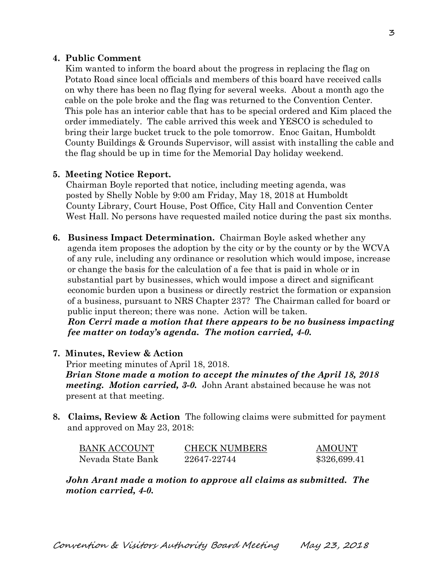### **4. Public Comment**

Kim wanted to inform the board about the progress in replacing the flag on Potato Road since local officials and members of this board have received calls on why there has been no flag flying for several weeks. About a month ago the cable on the pole broke and the flag was returned to the Convention Center. This pole has an interior cable that has to be special ordered and Kim placed the order immediately. The cable arrived this week and YESCO is scheduled to bring their large bucket truck to the pole tomorrow. Enoc Gaitan, Humboldt County Buildings & Grounds Supervisor, will assist with installing the cable and the flag should be up in time for the Memorial Day holiday weekend.

#### **5. Meeting Notice Report.**

Chairman Boyle reported that notice, including meeting agenda, was posted by Shelly Noble by 9:00 am Friday, May 18, 2018 at Humboldt County Library, Court House, Post Office, City Hall and Convention Center West Hall. No persons have requested mailed notice during the past six months.

**6. Business Impact Determination.** Chairman Boyle asked whether any agenda item proposes the adoption by the city or by the county or by the WCVA of any rule, including any ordinance or resolution which would impose, increase or change the basis for the calculation of a fee that is paid in whole or in substantial part by businesses, which would impose a direct and significant economic burden upon a business or directly restrict the formation or expansion of a business, pursuant to NRS Chapter 237? The Chairman called for board or public input thereon; there was none. Action will be taken.

 *Ron Cerri made a motion that there appears to be no business impacting fee matter on today's agenda. The motion carried, 4-0.* 

#### **7. Minutes, Review & Action**

Prior meeting minutes of April 18, 2018. *Brian Stone made a motion to accept the minutes of the April 18, 2018 meeting. Motion carried, 3-0.* John Arant abstained because he was not present at that meeting.

**8. Claims, Review & Action** The following claims were submitted for payment and approved on May 23, 2018:

| <b>BANK ACCOUNT</b> | <b>CHECK NUMBERS</b> | <b>AMOUNT</b> |
|---------------------|----------------------|---------------|
| Nevada State Bank   | 22647-22744          | \$326,699.41  |

*John Arant made a motion to approve all claims as submitted. The motion carried, 4-0.*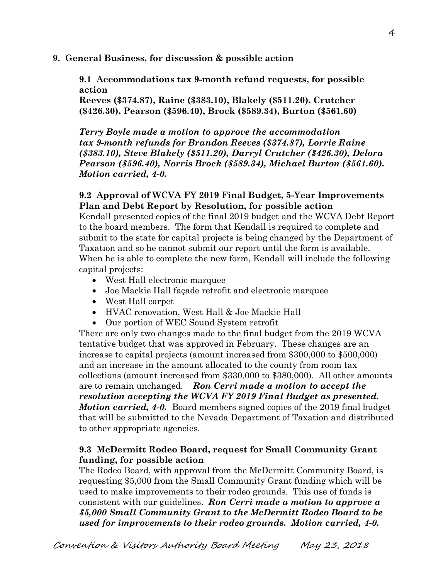**9. General Business, for discussion & possible action** 

**9.1 Accommodations tax 9-month refund requests, for possible action** 

**Reeves (\$374.87), Raine (\$383.10), Blakely (\$511.20), Crutcher (\$426.30), Pearson (\$596.40), Brock (\$589.34), Burton (\$561.60)** 

*Terry Boyle made a motion to approve the accommodation tax 9-month refunds for Brandon Reeves (\$374.87), Lorrie Raine (\$383.10), Steve Blakely (\$511.20), Darryl Crutcher (\$426.30), Delora Pearson (\$596.40), Norris Brock (\$589.34), Michael Burton (\$561.60). Motion carried, 4-0.*

### **9.2 Approval of WCVA FY 2019 Final Budget, 5-Year Improvements Plan and Debt Report by Resolution, for possible action**

Kendall presented copies of the final 2019 budget and the WCVA Debt Report to the board members. The form that Kendall is required to complete and submit to the state for capital projects is being changed by the Department of Taxation and so he cannot submit our report until the form is available. When he is able to complete the new form, Kendall will include the following capital projects:

- West Hall electronic marquee
- Joe Mackie Hall façade retrofit and electronic marquee
- West Hall carpet
- HVAC renovation, West Hall & Joe Mackie Hall
- Our portion of WEC Sound System retrofit

There are only two changes made to the final budget from the 2019 WCVA tentative budget that was approved in February. These changes are an increase to capital projects (amount increased from \$300,000 to \$500,000) and an increase in the amount allocated to the county from room tax collections (amount increased from \$330,000 to \$380,000). All other amounts are to remain unchanged. *Ron Cerri made a motion to accept the resolution accepting the WCVA FY 2019 Final Budget as presented. Motion carried, 4-0.* Board members signed copies of the 2019 final budget that will be submitted to the Nevada Department of Taxation and distributed to other appropriate agencies.

## **9.3 McDermitt Rodeo Board, request for Small Community Grant funding, for possible action**

The Rodeo Board, with approval from the McDermitt Community Board, is requesting \$5,000 from the Small Community Grant funding which will be used to make improvements to their rodeo grounds. This use of funds is consistent with our guidelines. *Ron Cerri made a motion to approve a \$5,000 Small Community Grant to the McDermitt Rodeo Board to be used for improvements to their rodeo grounds. Motion carried, 4-0.*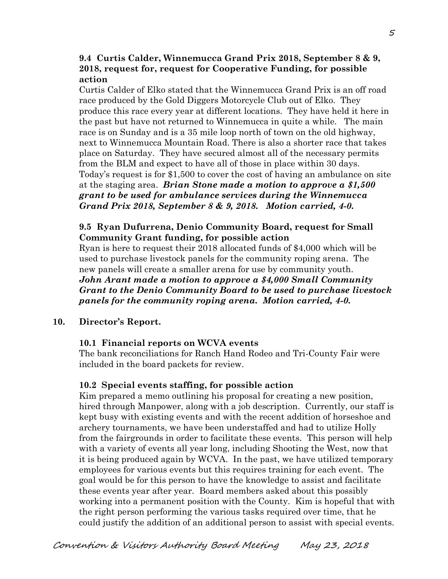### **9.4 Curtis Calder, Winnemucca Grand Prix 2018, September 8 & 9, 2018, request for, request for Cooperative Funding, for possible action**

Curtis Calder of Elko stated that the Winnemucca Grand Prix is an off road race produced by the Gold Diggers Motorcycle Club out of Elko. They produce this race every year at different locations. They have held it here in the past but have not returned to Winnemucca in quite a while. The main race is on Sunday and is a 35 mile loop north of town on the old highway, next to Winnemucca Mountain Road. There is also a shorter race that takes place on Saturday. They have secured almost all of the necessary permits from the BLM and expect to have all of those in place within 30 days. Today's request is for \$1,500 to cover the cost of having an ambulance on site at the staging area. *Brian Stone made a motion to approve a \$1,500 grant to be used for ambulance services during the Winnemucca Grand Prix 2018, September 8 & 9, 2018. Motion carried, 4-0.*

## **9.5 Ryan Dufurrena, Denio Community Board, request for Small Community Grant funding, for possible action**

Ryan is here to request their 2018 allocated funds of \$4,000 which will be used to purchase livestock panels for the community roping arena. The new panels will create a smaller arena for use by community youth. *John Arant made a motion to approve a \$4,000 Small Community Grant to the Denio Community Board to be used to purchase livestock panels for the community roping arena. Motion carried, 4-0.* 

### **10. Director's Report.**

### **10.1 Financial reports on WCVA events**

The bank reconciliations for Ranch Hand Rodeo and Tri-County Fair were included in the board packets for review.

### **10.2 Special events staffing, for possible action**

Kim prepared a memo outlining his proposal for creating a new position, hired through Manpower, along with a job description. Currently, our staff is kept busy with existing events and with the recent addition of horseshoe and archery tournaments, we have been understaffed and had to utilize Holly from the fairgrounds in order to facilitate these events. This person will help with a variety of events all year long, including Shooting the West, now that it is being produced again by WCVA. In the past, we have utilized temporary employees for various events but this requires training for each event. The goal would be for this person to have the knowledge to assist and facilitate these events year after year. Board members asked about this possibly working into a permanent position with the County. Kim is hopeful that with the right person performing the various tasks required over time, that he could justify the addition of an additional person to assist with special events.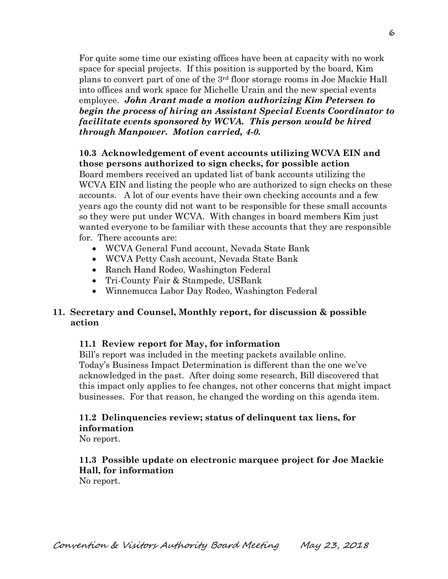For quite some time our existing offices have been at capacity with no work space for special projects. If this position is supported by the board, Kim plans to convert part of one of the 3rd floor storage rooms in Joe Mackie Hall into offices and work space for Michelle Urain and the new special events employee. *John Arant made a motion authorizing Kim Petersen to begin the process of hiring an Assistant Special Events Coordinator to facilitate events sponsored by WCVA. This person would be hired through Manpower. Motion carried, 4-0.*

**10.3 Acknowledgement of event accounts utilizing WCVA EIN and those persons authorized to sign checks, for possible action**  Board members received an updated list of bank accounts utilizing the WCVA EIN and listing the people who are authorized to sign checks on these accounts. A lot of our events have their own checking accounts and a few years ago the county did not want to be responsible for these small accounts so they were put under WCVA. With changes in board members Kim just

wanted everyone to be familiar with these accounts that they are responsible

- for. There accounts are:
	- WCVA General Fund account, Nevada State Bank
	- WCVA Petty Cash account, Nevada State Bank
	- Ranch Hand Rodeo, Washington Federal
	- Tri-County Fair & Stampede, USBank
	- Winnemucca Labor Day Rodeo, Washington Federal

## **11. Secretary and Counsel, Monthly report, for discussion & possible action**

## **11.1 Review report for May, for information**

Bill's report was included in the meeting packets available online. Today's Business Impact Determination is different than the one we've acknowledged in the past. After doing some research, Bill discovered that this impact only applies to fee changes, not other concerns that might impact businesses. For that reason, he changed the wording on this agenda item.

## **11.2 Delinquencies review; status of delinquent tax liens, for information**

No report.

## **11.3 Possible update on electronic marquee project for Joe Mackie Hall, for information**

No report.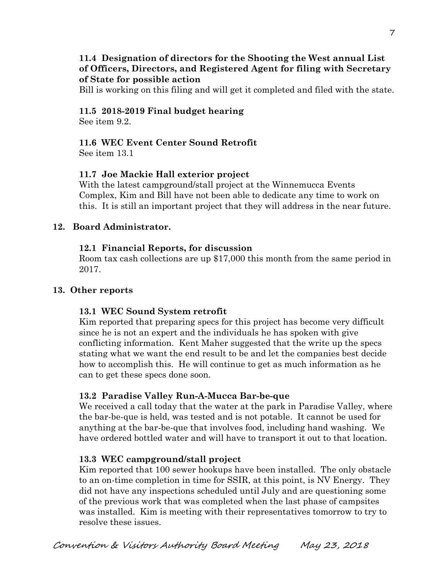## **11.4 Designation of directors for the Shooting the West annual List of Officers, Directors, and Registered Agent for filing with Secretary of State for possible action**

Bill is working on this filing and will get it completed and filed with the state.

## **11.5 2018-2019 Final budget hearing**

See item 9.2.

# **11.6 WEC Event Center Sound Retrofit**

See item 13.1

## **11.7 Joe Mackie Hall exterior project**

With the latest campground/stall project at the Winnemucca Events Complex, Kim and Bill have not been able to dedicate any time to work on this. It is still an important project that they will address in the near future.

## **12. Board Administrator.**

## **12.1 Financial Reports, for discussion**

Room tax cash collections are up \$17,000 this month from the same period in 2017.

## **13. Other reports**

## **13.1 WEC Sound System retrofit**

Kim reported that preparing specs for this project has become very difficult since he is not an expert and the individuals he has spoken with give conflicting information. Kent Maher suggested that the write up the specs stating what we want the end result to be and let the companies best decide how to accomplish this. He will continue to get as much information as he can to get these specs done soon.

## **13.2 Paradise Valley Run-A-Mucca Bar-be-que**

We received a call today that the water at the park in Paradise Valley, where the bar-be-que is held, was tested and is not potable. It cannot be used for anything at the bar-be-que that involves food, including hand washing. We have ordered bottled water and will have to transport it out to that location.

## **13.3 WEC campground/stall project**

Kim reported that 100 sewer hookups have been installed. The only obstacle to an on-time completion in time for SSIR, at this point, is NV Energy. They did not have any inspections scheduled until July and are questioning some of the previous work that was completed when the last phase of campsites was installed. Kim is meeting with their representatives tomorrow to try to resolve these issues.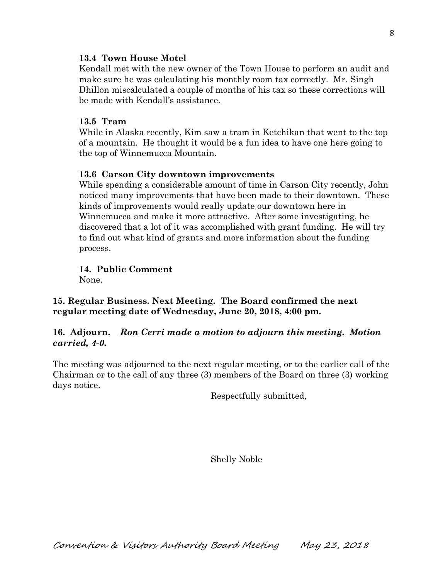### **13.4 Town House Motel**

Kendall met with the new owner of the Town House to perform an audit and make sure he was calculating his monthly room tax correctly. Mr. Singh Dhillon miscalculated a couple of months of his tax so these corrections will be made with Kendall's assistance.

### **13.5 Tram**

While in Alaska recently, Kim saw a tram in Ketchikan that went to the top of a mountain. He thought it would be a fun idea to have one here going to the top of Winnemucca Mountain.

#### **13.6 Carson City downtown improvements**

While spending a considerable amount of time in Carson City recently, John noticed many improvements that have been made to their downtown. These kinds of improvements would really update our downtown here in Winnemucca and make it more attractive. After some investigating, he discovered that a lot of it was accomplished with grant funding. He will try to find out what kind of grants and more information about the funding process.

**14. Public Comment** 

None.

**15. Regular Business. Next Meeting. The Board confirmed the next regular meeting date of Wednesday, June 20, 2018, 4:00 pm.** 

### **16. Adjourn.** *Ron Cerri made a motion to adjourn this meeting. Motion carried, 4-0.*

The meeting was adjourned to the next regular meeting, or to the earlier call of the Chairman or to the call of any three (3) members of the Board on three (3) working days notice.

Respectfully submitted,

Shelly Noble